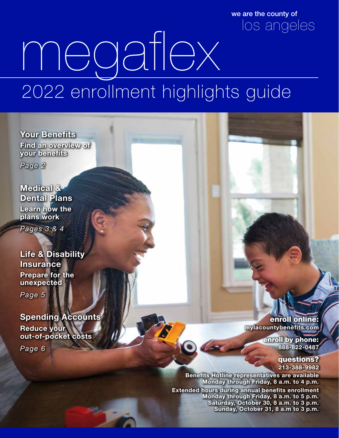we are the county of los angeles

# megaflex 2022 enrollment highlights guide

Your Benefits Find an overview of your benefits

*Page 2*

Medical & Dental Plans Learn how the plans work

*Pages 3 & 4*

Life & Disability Insurance Prepare for the unexpected

*Page 5*

Spending Accounts Reduce your out-of-pocket costs

*Page 6*

enroll online: mylacountybenefits.com

> enroll by phone: 888-822-0487

> > questions? 213-388-9982

Benefits Hotline representatives are available Monday through Friday, 8 a.m. to 4 p.m.

Extended hours during annual benefits enrollment Monday through Friday, 8 a.m. to 5 p.m. Saturday, October 30, 8 a.m. to 3 p.m. Sunday, October 31, 8 a.m to 3 p.m.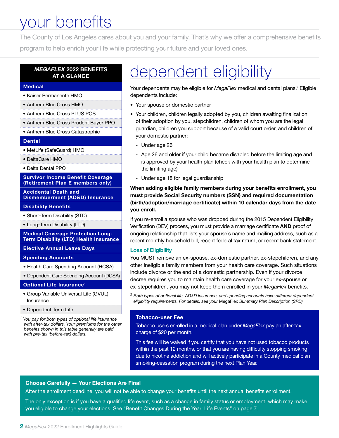### your benefits

The County of Los Angeles cares about you and your family. That's why we offer a comprehensive benefits program to help enrich your life while protecting your future and your loved ones.

#### *MEGAFLEX* 2022 BENEFITS AT A GLANCE

#### Medical

- Kaiser Permanente HMO
- Anthem Blue Cross HMO
- Anthem Blue Cross PLUS POS
- Anthem Blue Cross Prudent Buyer PPO
- Anthem Blue Cross Catastrophic

#### **Dental**

- MetLife (SafeGuard) HMO
- DeltaCare HMO
- Delta Dental PPO

#### Survivor Income Benefit Coverage (Retirement Plan E members only)

Accidental Death and Dismemberment (AD&D) Insurance

#### Disability Benefits

- Short-Term Disability (STD)
- Long-Term Disability (LTD)

Medical Coverage Protection Long-Term Disability (LTD) Health Insurance

Elective Annual Leave Days

#### Spending Accounts

- Health Care Spending Account (HCSA)
- Dependent Care Spending Account (DCSA)

#### Optional Life Insurance1

- Group Variable Universal Life (GVUL) Insurance
- Dependent Term Life

*1 You pay for both types of optional life insurance with after-tax dollars. Your premiums for the other benefits shown in this table generally are paid with pre-tax (before-tax) dollars.*

### dependent eligibility

Your dependents may be eligible for *MegaFlex* medical and dental plans.<sup>2</sup> Eligible dependents include:

- Your spouse or domestic partner
- Your children, children legally adopted by you, children awaiting finalization of their adoption by you, stepchildren, children of whom you are the legal guardian, children you support because of a valid court order, and children of your domestic partner:
	- Under age 26
	- Age 26 and older if your child became disabled before the limiting age and is approved by your health plan (check with your health plan to determine the limiting age)
	- Under age 18 for legal guardianship

When adding eligible family members during your benefits enrollment, you must provide Social Security numbers (SSN) and required documentation (birth/adoption/marriage certificate) within 10 calendar days from the date you enroll.

If you re-enroll a spouse who was dropped during the 2015 Dependent Eligibility Verification (DEV) process, you must provide a marriage certificate AND proof of ongoing relationship that lists your spouse's name and mailing address, such as a recent monthly household bill, recent federal tax return, or recent bank statement.

#### Loss of Eligibility

You MUST remove an ex-spouse, ex-domestic partner, ex-stepchildren, and any other ineligible family members from your health care coverage. Such situations include divorce or the end of a domestic partnership. Even if your divorce decree requires you to maintain health care coverage for your ex-spouse or ex-stepchildren, you may not keep them enrolled in your *MegaFlex* benefits.

*<sup>2</sup> Both types of optional life, AD&D insurance, and spending accounts have different dependent eligibility requirements. For details, see your* MegaFlex *Summary Plan Description (SPD).*

#### Tobacco-user Fee

Tobacco users enrolled in a medical plan under *MegaFlex* pay an after-tax charge of \$20 per month.

This fee will be waived if you certify that you have not used tobacco products within the past 12 months, or that you are having difficulty stopping smoking due to nicotine addiction and will actively participate in a County medical plan smoking-cessation program during the next Plan Year.

#### Choose Carefully — Your Elections Are Final

After the enrollment deadline, you will not be able to change your benefits until the next annual benefits enrollment.

The only exception is if you have a qualified life event, such as a change in family status or employment, which may make you eligible to change your elections. See "Benefit Changes During the Year: Life Events" on page 7.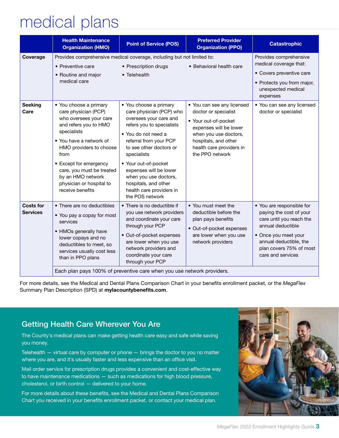### medical plans

|                                     | <b>Health Maintenance</b><br><b>Organization (HMO)</b>                                                                                                                                                                                                                                                     | <b>Point of Service (POS)</b>                                                                                                                                                                                                                                                                                                                          | <b>Preferred Provider</b><br><b>Organization (PPO)</b>                                                                                                                                               | <b>Catastrophic</b>                                                                                                                                                                                     |  |
|-------------------------------------|------------------------------------------------------------------------------------------------------------------------------------------------------------------------------------------------------------------------------------------------------------------------------------------------------------|--------------------------------------------------------------------------------------------------------------------------------------------------------------------------------------------------------------------------------------------------------------------------------------------------------------------------------------------------------|------------------------------------------------------------------------------------------------------------------------------------------------------------------------------------------------------|---------------------------------------------------------------------------------------------------------------------------------------------------------------------------------------------------------|--|
| Coverage                            | • Preventive care<br>• Routine and major<br>medical care                                                                                                                                                                                                                                                   | Provides comprehensive medical coverage, including but not limited to:<br>• Prescription drugs<br>• Telehealth                                                                                                                                                                                                                                         | • Behavioral health care                                                                                                                                                                             | Provides comprehensive<br>medical coverage that:<br>• Covers preventive care<br>• Protects you from major,<br>unexpected medical<br>expenses                                                            |  |
| <b>Seeking</b><br>Care              | • You choose a primary<br>care physician (PCP)<br>who oversees your care<br>and refers you to HMO<br>specialists<br>• You have a network of<br>HMO providers to choose<br>from<br>• Except for emergency<br>care, you must be treated<br>by an HMO network<br>physician or hospital to<br>receive benefits | • You choose a primary<br>care physician (PCP) who<br>oversees your care and<br>refers you to specialists<br>• You do not need a<br>referral from your PCP<br>to see other doctors or<br>specialists<br>• Your out-of-pocket<br>expenses will be lower<br>when you use doctors,<br>hospitals, and other<br>health care providers in<br>the POS network | • You can see any licensed<br>doctor or specialist<br>• Your out-of-pocket<br>expenses will be lower<br>when you use doctors,<br>hospitals, and other<br>health care providers in<br>the PPO network | • You can see any licensed<br>doctor or specialist                                                                                                                                                      |  |
| <b>Costs for</b><br><b>Services</b> | • There are no deductibles<br>• You pay a copay for most<br>services<br>• HMOs generally have<br>lower copays and no<br>deductibles to meet, so<br>services usually cost less<br>than in PPO plans                                                                                                         | • There is no deductible if<br>you use network providers<br>and coordinate your care<br>through your PCP<br>• Out-of-pocket expenses<br>are lower when you use<br>network providers and<br>coordinate your care<br>through your PCP                                                                                                                    | • You must meet the<br>deductible before the<br>plan pays benefits<br>• Out-of-pocket expenses<br>are lower when you use<br>network providers                                                        | • You are responsible for<br>paying the cost of your<br>care until you reach the<br>annual deductible<br>• Once you meet your<br>annual deductible, the<br>plan covers 75% of most<br>care and services |  |
|                                     | Each plan pays 100% of preventive care when you use network providers.                                                                                                                                                                                                                                     |                                                                                                                                                                                                                                                                                                                                                        |                                                                                                                                                                                                      |                                                                                                                                                                                                         |  |

For more details, see the Medical and Dental Plans Comparison Chart in your benefits enrollment packet, or the *MegaFlex* Summary Plan Description (SPD) at mylacountybenefits.com.

### Getting Health Care Wherever You Are

The County's medical plans can make getting health care easy and safe while saving you money.

Telehealth — virtual care by computer or phone — brings the doctor to you no matter where you are, and it's usually faster and less expensive than an office visit.

Mail order service for prescription drugs provides a convenient and cost-effective way to have maintenance medications — such as medications for high blood pressure, cholesterol, or birth control — delivered to your home.

For more details about these benefits, see the Medical and Dental Plans Comparison Chart you received in your benefits enrollment packet, or contact your medical plan.

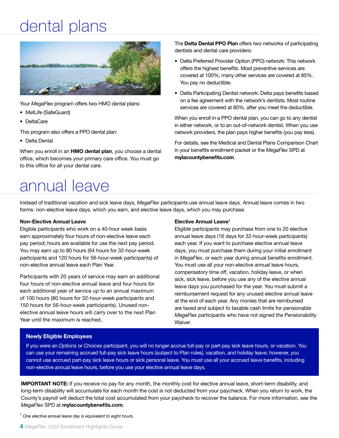### dental plans



Your *MegaFlex* program offers two HMO dental plans:

- MetLife (SafeGuard)
- DeltaCare

This program also offers a PPO dental plan:

• Delta Dental

When you enroll in an HMO dental plan, you choose a dental office, which becomes your primary care office. You must go to this office for all your dental care.

### annual leave

The Delta Dental PPO Plan offers two networks of participating dentists and dental care providers:

- Delta Preferred Provider Option (PPO) network: This network offers the highest benefits. Most preventive services are covered at 100%; many other services are covered at 85%. You pay no deductible.
- Delta Participating Dentist network: Delta pays benefits based on a fee agreement with the network's dentists. Most routine services are covered at 80%, after you meet the deductible.

When you enroll in a PPO dental plan, you can go to any dentist in either network, or to an out-of-network dentist. When you use network providers, the plan pays higher benefits (you pay less).

For details, see the Medical and Dental Plans Comparison Chart in your benefits enrollment packet or the *MegaFlex* SPD at mylacountybenefits.com.

Instead of traditional vacation and sick leave days, *MegaFlex* participants use annual leave days. Annual leave comes in two forms: non-elective leave days, which you earn, and elective leave days, which you may purchase.

#### Non-Elective Annual Leave

Eligible participants who work on a 40-hour week basis earn approximately four hours of non-elective leave each pay period; hours are available for use the next pay period. You may earn up to 80 hours (64 hours for 32-hour-week participants and 120 hours for 56-hour-week participants) of non-elective annual leave each Plan Year.

Participants with 20 years of service may earn an additional four hours of non-elective annual leave and four hours for each additional year of service up to an annual maximum of 100 hours (80 hours for 32-hour-week participants and 150 hours for 56-hour-week participants). Unused nonelective annual leave hours will carry over to the next Plan Year until the maximum is reached.

#### Elective Annual Leave<sup>1</sup>

Eligible participants may purchase from one to 20 elective annual leave days (16 days for 32-hour-week participants) each year. If you want to purchase elective annual leave days, you must purchase them during your initial enrollment in *MegaFlex*, or each year during annual benefits enrollment. You must use all your non-elective annual leave hours, compensatory time off, vacation, holiday leave, or when sick, sick leave, before you use any of the elective annual leave days you purchased for the year. You must submit a reimbursement request for any unused elective annual leave at the end of each year. Any monies that are reimbursed are taxed and subject to taxable cash limits for pensionable *MegaFlex* participants who have not signed the Pensionability Waiver.

#### Newly Eligible Employees

If you were an *Options* or *Choices* participant, you will no longer accrue full-pay or part-pay sick leave hours, or vacation. You can use your remaining accrued full-pay sick leave hours (subject to Plan rules), vacation, and holiday leave; however, you cannot use accrued part-pay sick leave hours or sick personal leave. You must use all your accrued leave benefits, including non-elective annual leave hours, before you use your elective annual leave days.

IMPORTANT NOTE: If you receive no pay for any month, the monthly cost for elective annual leave, short-term disability, and long-term disability will accumulate for each month the cost is not deducted from your paycheck. When you return to work, the County's payroll will deduct the total cost accumulated from your paycheck to recover the balance. For more information, see the *MegaFlex* SPD at mylacountybenefits.com.

*1 One elective annual leave day is equivalent to eight hours.*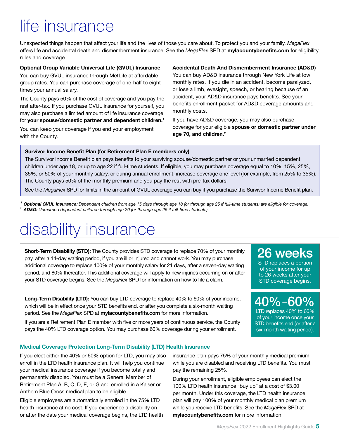## life insurance

Unexpected things happen that affect your life and the lives of those you care about. To protect you and your family, *MegaFlex* offers life and accidental death and dismemberment insurance. See the *MegaFlex* SPD at mylacountybenefits.com for eligibility rules and coverage.

#### Optional Group Variable Universal Life (GVUL) Insurance

You can buy GVUL insurance through MetLife at affordable group rates. You can purchase coverage of one-half to eight times your annual salary.

The County pays 50% of the cost of coverage and you pay the rest after-tax. If you purchase GVUL insurance for yourself, you may also purchase a limited amount of life insurance coverage for your spouse/domestic partner and dependent children.1

You can keep your coverage if you end your employment with the County.

#### Accidental Death And Dismemberment Insurance (AD&D)

You can buy AD&D insurance through New York Life at low monthly rates. If you die in an accident, become paralyzed, or lose a limb, eyesight, speech, or hearing because of an accident, your AD&D insurance pays benefits. See your benefits enrollment packet for AD&D coverage amounts and monthly costs.

If you have AD&D coverage, you may also purchase coverage for your eligible spouse or domestic partner under age 70, and children.<sup>2</sup>

#### Survivor Income Benefit Plan (for Retirement Plan E members only)

The Survivor Income Benefit plan pays benefits to your surviving spouse/domestic partner or your unmarried dependent children under age 18, or up to age 22 if full-time students. If eligible, you may purchase coverage equal to 10%, 15%, 25%, 35%, or 50% of your monthly salary, or during annual enrollment, increase coverage one level (for example, from 25% to 35%). The County pays 50% of the monthly premium and you pay the rest with pre-tax dollars.

See the *MegaFlex* SPD for limits in the amount of GVUL coverage you can buy if you purchase the Survivor Income Benefit plan.

*<sup>1</sup>* Optional GVUL Insurance: *Dependent children from age 15 days through age 18 (or through age 25 if full-time students) are eligible for coverage. <sup>2</sup>* AD&D: *Unmarried dependent children through age 20 (or through age 25 if full-time students).*

### disability insurance

**Short-Term Disability (STD):** The County provides STD coverage to replace 70% of your monthly pay, after a 14-day waiting period, if you are ill or injured and cannot work. You may purchase additional coverage to replace 100% of your monthly salary for 21 days, after a seven-day waiting period, and 80% thereafter. This additional coverage will apply to new injuries occurring on or after your STD coverage begins. See the *MegaFlex* SPD for information on how to file a claim.

26 weeks STD replaces a portion

of your income for up to 26 weeks after your STD coverage begins.

Long-Term Disability (LTD): You can buy LTD coverage to replace 40% to 60% of your income, which will be in effect once your STD benefits end, or after you complete a six-month waiting period. See the *MegaFlex* SPD at mylacountybenefits.com for more information.

If you are a Retirement Plan E member with five or more years of continuous service, the County pays the 40% LTD coverage option. You may purchase 60% coverage during your enrollment.

40%–60% LTD replaces 40% to 60% of your income once your STD benefits end (or after a six-month waiting period).

#### Medical Coverage Protection Long-Term Disability (LTD) Health Insurance

If you elect either the 40% or 60% option for LTD, you may also enroll in the LTD health insurance plan. It will help you continue your medical insurance coverage if you become totally and permanently disabled. You must be a General Member of Retirement Plan A, B, C, D, E, or G and enrolled in a Kaiser or Anthem Blue Cross medical plan to be eligible.

Eligible employees are automatically enrolled in the 75% LTD health insurance at no cost. If you experience a disability on or after the date your medical coverage begins, the LTD health insurance plan pays 75% of your monthly medical premium while you are disabled and receiving LTD benefits. You must pay the remaining 25%.

During your enrollment, eligible employees can elect the 100% LTD health insurance "buy up" at a cost of \$3.00 per month. Under this coverage, the LTD health insurance plan will pay 100% of your monthly medical plan premium while you receive LTD benefits. See the *MegaFlex* SPD at mylacountybenefits.com for more information.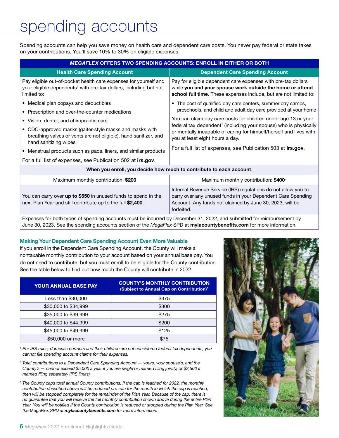### spending accounts

Spending accounts can help you save money on health care and dependent care costs. You never pay federal or state taxes on your contributions. You'll save 10% to 30% on eligible expenses.

| <b>MEGAFLEX OFFERS TWO SPENDING ACCOUNTS: ENROLL IN EITHER OR BOTH</b>                                                                                           |                                                                                                                                                                                                 |  |  |  |  |  |
|------------------------------------------------------------------------------------------------------------------------------------------------------------------|-------------------------------------------------------------------------------------------------------------------------------------------------------------------------------------------------|--|--|--|--|--|
| <b>Health Care Spending Account</b>                                                                                                                              | <b>Dependent Care Spending Account</b>                                                                                                                                                          |  |  |  |  |  |
| Pay eligible out-of-pocket health care expenses for yourself and<br>your eligible dependents <sup>1</sup> with pre-tax dollars, including but not<br>limited to: | Pay for eligible dependent care expenses with pre-tax dollars<br>while you and your spouse work outside the home or attend<br>school full time. These expenses include, but are not limited to: |  |  |  |  |  |
| • Medical plan copays and deductibles                                                                                                                            | • The cost of qualified day care centers, summer day camps,<br>preschools, and child and adult day care provided at your home                                                                   |  |  |  |  |  |
| • Prescription and over-the-counter medications                                                                                                                  |                                                                                                                                                                                                 |  |  |  |  |  |
| • Vision, dental, and chiropractic care                                                                                                                          | You can claim day care costs for children under age 13 or your                                                                                                                                  |  |  |  |  |  |
| • CDC-approved masks (gaiter-style masks and masks with<br>breathing valves or vents are not eligible), hand sanitizer, and<br>hand sanitizing wipes             | federal tax dependent <sup>1</sup> (including your spouse) who is physically<br>or mentally incapable of caring for himself/herself and lives with<br>you at least eight hours a day.           |  |  |  |  |  |
| • Menstrual products such as pads, liners, and similar products                                                                                                  | For a full list of expenses, see Publication 503 at irs.gov.                                                                                                                                    |  |  |  |  |  |
| For a full list of expenses, see Publication 502 at irs.gov.                                                                                                     |                                                                                                                                                                                                 |  |  |  |  |  |
| When you enroll, you decide how much to contribute to each account.                                                                                              |                                                                                                                                                                                                 |  |  |  |  |  |
| Maximum monthly contribution: \$200                                                                                                                              | Maximum monthly contribution: \$400 <sup>2</sup>                                                                                                                                                |  |  |  |  |  |
|                                                                                                                                                                  | Internal Revenue Service (IRS) regulations do not allow you to                                                                                                                                  |  |  |  |  |  |

You can carry over up to \$550 in unused funds to spend in the next Plan Year and still contribute up to the full \$2,400. carry over any unused funds in your Dependent Care Spending Account. Any funds not claimed by June 30, 2023, will be forfeited.

Expenses for both types of spending accounts must be incurred by December 31, 2022, and submitted for reimbursement by June 30, 2023. See the spending accounts section of the *MegaFlex* SPD at mylacountybenefits.com for more information.

#### Making Your Dependent Care Spending Account Even More Valuable

If you enroll in the Dependent Care Spending Account, the County will make a nontaxable monthly contribution to your account based on your annual base pay. You do not need to contribute, but you must enroll to be eligible for the County contribution. See the table below to find out how much the County will contribute in 2022.

| <b>YOUR ANNUAL BASE PAY</b> | <b>COUNTY'S MONTHLY CONTRIBUTION</b><br>(Subject to Annual Cap on Contribution) <sup>3</sup> |
|-----------------------------|----------------------------------------------------------------------------------------------|
| Less than \$30,000          | \$375                                                                                        |
| \$30,000 to \$34,999        | \$300                                                                                        |
| \$35,000 to \$39,999        | \$275                                                                                        |
| \$40,000 to \$44,999        | \$200                                                                                        |
| \$45,000 to \$49,999        | \$125                                                                                        |
| \$50,000 or more            | \$75                                                                                         |

*1 Per IRS rules, domestic partners and their children are not considered federal tax dependents; you cannot file spending account claims for their expenses.*

*<sup>2</sup> Total contributions to a Dependent Care Spending Account — yours, your spouse's, and the County's — cannot exceed \$5,000 a year if you are single or married filing jointly, or \$2,500 if married filing separately (IRS limits).*

*<sup>3</sup> The County caps total annual County contributions. If the cap is reached for 2022, the monthly*  contribution described above will be reduced pro rata for the month in which the cap is reached, *then will be stopped completely for the remainder of the Plan Year. Because of the cap, there is no guarantee that you will receive the full monthly contribution shown above during the entire Plan Year. You will be notified if the County contribution is reduced or stopped during the Plan Year. See the* MegaFlex *SPD at mylacountybenefits.com for more information.*

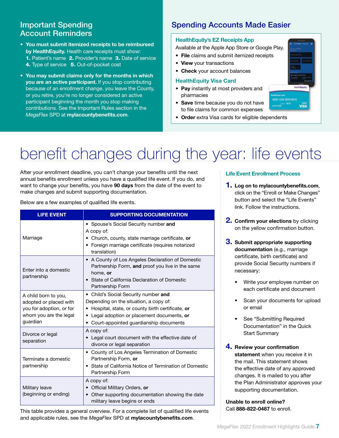### Account Reminders

- You must submit itemized receipts to be reimbursed by HealthEquity. Health care receipts must show: 1. Patient's name 2. Provider's name 3. Date of service 4. Type of service 5. Out-of-pocket cost
- You may submit claims only for the months in which you are an active participant. If you stop contributing because of an enrollment change, you leave the County, or you retire, you're no longer considered an active participant beginning the month you stop making contributions. See the Important Rules section in the *MegaFlex* SPD at mylacountybenefits.com.

### **Important Spending Community Spending Accounts Made Easier**

#### HealthEquity's EZ Receipts App

Available at the Apple App Store or Google Play.

- File claims and submit itemized receipts
- View your transactions
- Check your account balances

#### HealthEquity Visa Card

- Pay instantly at most providers and pharmacies
- Save time because you do not have to file claims for common expenses
- Order extra Visa cards for eligible dependents

# benefit changes during the year: life events

After your enrollment deadline, you can't change your benefits until the next annual benefits enrollment unless you have a qualified life event. If you do, and want to change your benefits, you have 90 days from the date of the event to make changes and submit supporting documentation.

Below are a few examples of qualified life events.

| <b>LIFE EVENT</b>                                                                                                | <b>SUPPORTING DOCUMENTATION</b>                                                                                                                                                                                                          |  |  |
|------------------------------------------------------------------------------------------------------------------|------------------------------------------------------------------------------------------------------------------------------------------------------------------------------------------------------------------------------------------|--|--|
| Marriage                                                                                                         | • Spouse's Social Security number and<br>A copy of:<br>• Church, county, state marriage certificate, or<br>• Foreign marriage certificate (requires notarized<br>translation)                                                            |  |  |
| Enter into a domestic<br>partnership                                                                             | • A County of Los Angeles Declaration of Domestic<br>Partnership Form, and proof you live in the same<br>home, or<br>• State of California Declaration of Domestic<br>Partnership Form                                                   |  |  |
| A child born to you,<br>adopted or placed with<br>you for adoption, or for<br>whom you are the legal<br>guardian | • Child's Social Security number and<br>Depending on the situation, a copy of:<br>Hospital, state, or county birth certificate, or<br>٠<br>Legal adoption or placement documents, or<br>٠<br>Court-appointed guardianship documents<br>٠ |  |  |
| Divorce or legal<br>separation                                                                                   | A copy of:<br>Legal court document with the effective date of<br>divorce or legal separation                                                                                                                                             |  |  |
| Terminate a domestic<br>partnership                                                                              | • County of Los Angeles Termination of Domestic<br>Partnership Form, or<br>• State of California Notice of Termination of Domestic<br>Partnership Form                                                                                   |  |  |
| Military leave<br>(beginning or ending)                                                                          | A copy of:<br>Official Military Orders, or<br>Other supporting documentation showing the date<br>$\bullet$<br>military leave begins or ends                                                                                              |  |  |

This table provides a general overview. For a complete list of qualified life events and applicable rules, see the *MegaFlex* SPD at mylacountybenefits.com.

#### Life Event Enrollment Process

- **1.** Log on to mylacountybenefits.com, click on the "Enroll or Make Changes" button and select the "Life Events" link. Follow the instructions.
- **2. Confirm your elections** by clicking on the yellow confirmation button.
- **3.** Submit appropriate supporting documentation (e.g., marriage certificate, birth certificate) and provide Social Security numbers if necessary:
	- Write your employee number on each certificate and document
	- Scan your documents for upload or email
	- See "Submitting Required Documentation" in the Quick Start Summary
- 4. Review your confirmation statement when you receive it in the mail. This statement shows the effective date of any approved changes. It is mailed to you after the Plan Administrator approves your supporting documentation.

Unable to enroll online? Call 888-822-0487 to enroll.